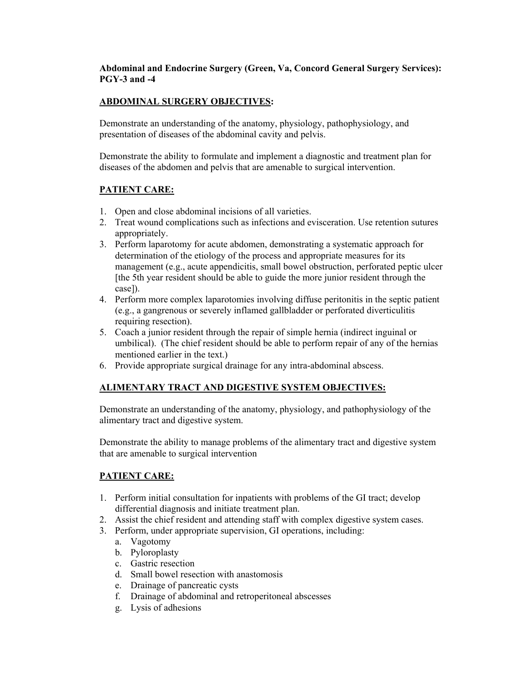### **Abdominal and Endocrine Surgery (Green, Va, Concord General Surgery Services): PGY-3 and -4**

### **ABDOMINAL SURGERY OBJECTIVES:**

Demonstrate an understanding of the anatomy, physiology, pathophysiology, and presentation of diseases of the abdominal cavity and pelvis.

Demonstrate the ability to formulate and implement a diagnostic and treatment plan for diseases of the abdomen and pelvis that are amenable to surgical intervention.

# **PATIENT CARE:**

- 1. Open and close abdominal incisions of all varieties.
- 2. Treat wound complications such as infections and evisceration. Use retention sutures appropriately.
- 3. Perform laparotomy for acute abdomen, demonstrating a systematic approach for determination of the etiology of the process and appropriate measures for its management (e.g., acute appendicitis, small bowel obstruction, perforated peptic ulcer [the 5th year resident should be able to guide the more junior resident through the case]).
- 4. Perform more complex laparotomies involving diffuse peritonitis in the septic patient (e.g., a gangrenous or severely inflamed gallbladder or perforated diverticulitis requiring resection).
- 5. Coach a junior resident through the repair of simple hernia (indirect inguinal or umbilical). (The chief resident should be able to perform repair of any of the hernias mentioned earlier in the text.)
- 6. Provide appropriate surgical drainage for any intra-abdominal abscess.

# **ALIMENTARY TRACT AND DIGESTIVE SYSTEM OBJECTIVES:**

Demonstrate an understanding of the anatomy, physiology, and pathophysiology of the alimentary tract and digestive system.

Demonstrate the ability to manage problems of the alimentary tract and digestive system that are amenable to surgical intervention

# **PATIENT CARE:**

- 1. Perform initial consultation for inpatients with problems of the GI tract; develop differential diagnosis and initiate treatment plan.
- 2. Assist the chief resident and attending staff with complex digestive system cases.
- 3. Perform, under appropriate supervision, GI operations, including:
	- a. Vagotomy
	- b. Pyloroplasty
	- c. Gastric resection
	- d. Small bowel resection with anastomosis
	- e. Drainage of pancreatic cysts
	- f. Drainage of abdominal and retroperitoneal abscesses
	- g. Lysis of adhesions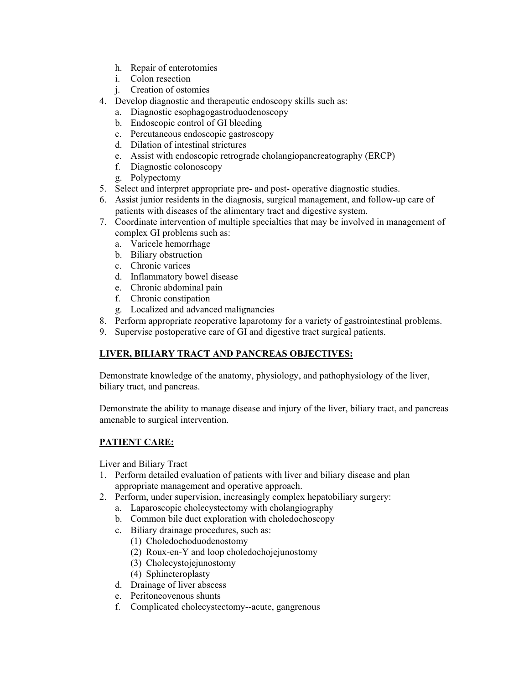- h. Repair of enterotomies
- i. Colon resection
- j. Creation of ostomies
- 4. Develop diagnostic and therapeutic endoscopy skills such as:
	- a. Diagnostic esophagogastroduodenoscopy
	- b. Endoscopic control of GI bleeding
	- c. Percutaneous endoscopic gastroscopy
	- d. Dilation of intestinal strictures
	- e. Assist with endoscopic retrograde cholangiopancreatography (ERCP)
	- f. Diagnostic colonoscopy
	- g. Polypectomy
- 5. Select and interpret appropriate pre- and post- operative diagnostic studies.
- 6. Assist junior residents in the diagnosis, surgical management, and follow-up care of patients with diseases of the alimentary tract and digestive system.
- 7. Coordinate intervention of multiple specialties that may be involved in management of complex GI problems such as:
	- a. Varicele hemorrhage
	- b. Biliary obstruction
	- c. Chronic varices
	- d. Inflammatory bowel disease
	- e. Chronic abdominal pain
	- f. Chronic constipation
	- g. Localized and advanced malignancies
- 8. Perform appropriate reoperative laparotomy for a variety of gastrointestinal problems.
- 9. Supervise postoperative care of GI and digestive tract surgical patients.

# **LIVER, BILIARY TRACT AND PANCREAS OBJECTIVES:**

Demonstrate knowledge of the anatomy, physiology, and pathophysiology of the liver, biliary tract, and pancreas.

Demonstrate the ability to manage disease and injury of the liver, biliary tract, and pancreas amenable to surgical intervention.

# **PATIENT CARE:**

Liver and Biliary Tract

- 1. Perform detailed evaluation of patients with liver and biliary disease and plan appropriate management and operative approach.
- 2. Perform, under supervision, increasingly complex hepatobiliary surgery:
	- a. Laparoscopic cholecystectomy with cholangiography
		- b. Common bile duct exploration with choledochoscopy
	- c. Biliary drainage procedures, such as:
		- (1) Choledochoduodenostomy
		- (2) Roux-en-Y and loop choledochojejunostomy
		- (3) Cholecystojejunostomy
		- (4) Sphincteroplasty
	- d. Drainage of liver abscess
	- e. Peritoneovenous shunts
	- f. Complicated cholecystectomy--acute, gangrenous